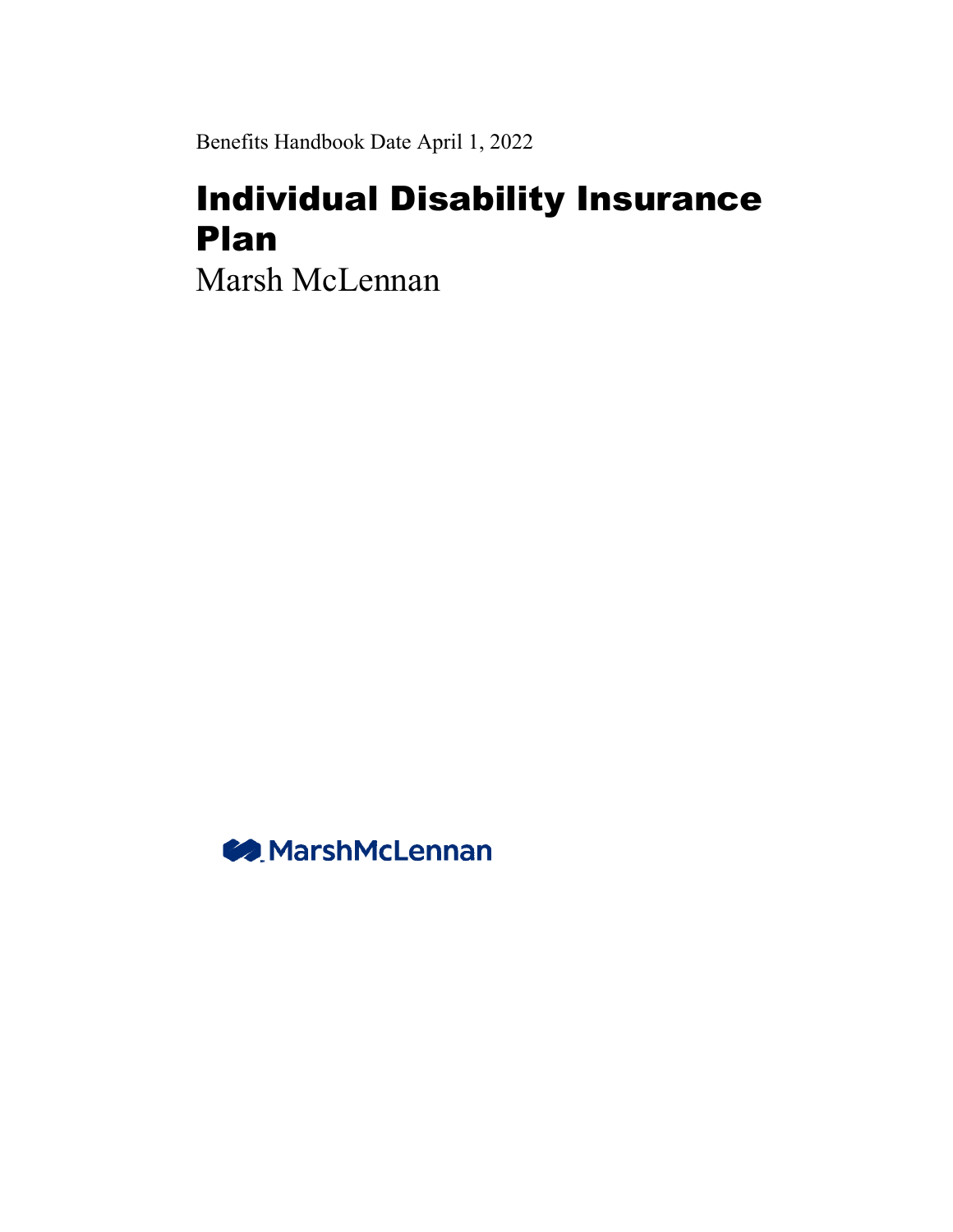Benefits Handbook Date April 1, 2022

# Individual Disability Insurance Plan

Marsh McLennan

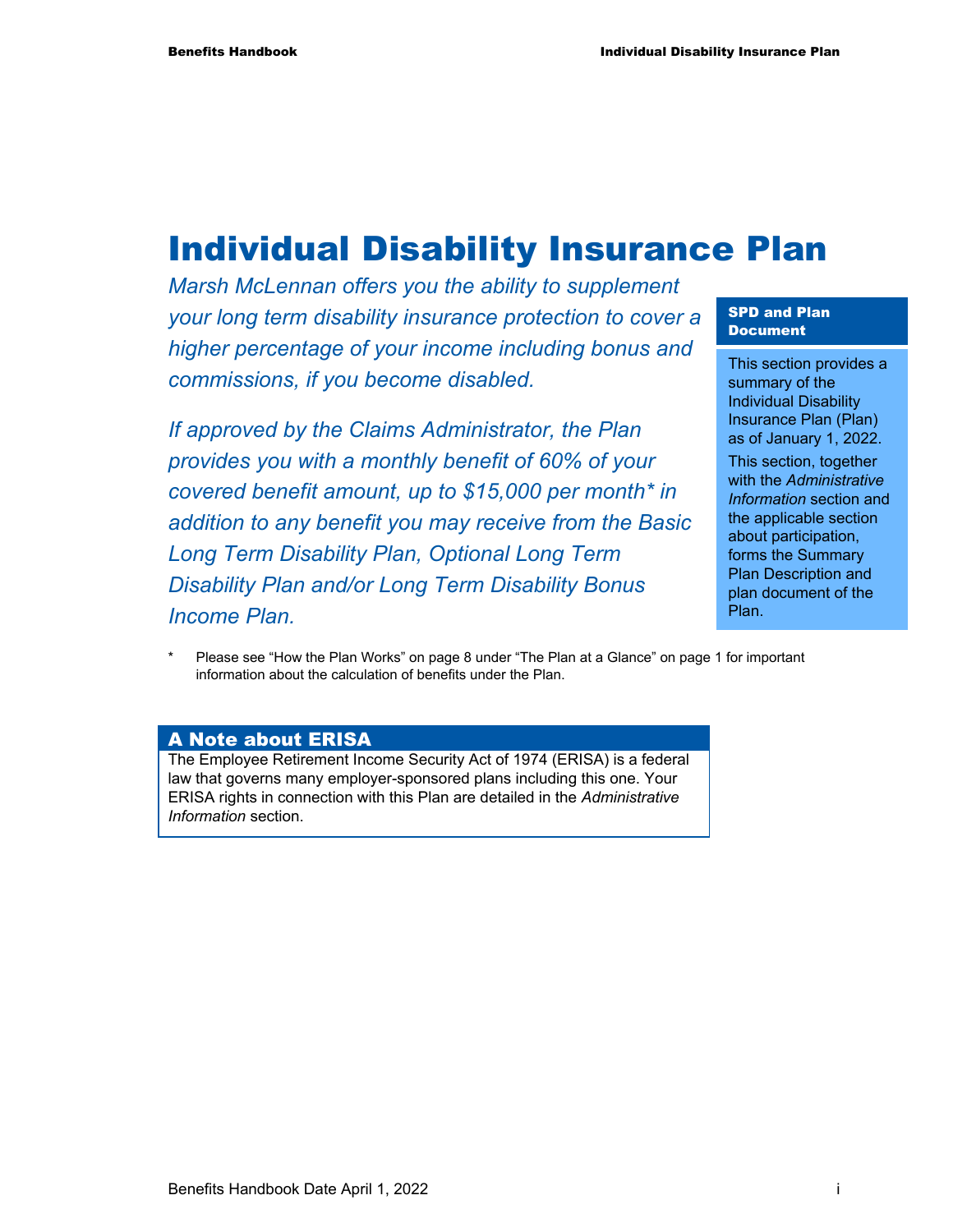## Individual Disability Insurance Plan

*Marsh McLennan offers you the ability to supplement your long term disability insurance protection to cover a higher percentage of your income including bonus and commissions, if you become disabled.* 

*If approved by the Claims Administrator, the Plan provides you with a monthly benefit of 60% of your covered benefit amount, up to \$15,000 per month\* in addition to any benefit you may receive from the Basic Long Term Disability Plan, Optional Long Term Disability Plan and/or Long Term Disability Bonus Income Plan.* 

#### SPD and Plan Document

This section provides a summary of the Individual Disability Insurance Plan (Plan) as of January 1, 2022. This section, together

with the *Administrative Information* section and the applicable section about participation, forms the Summary Plan Description and plan document of the Plan.

Please see "How the Plan Works" on page 8 under "The Plan at a Glance" on page 1 for important information about the calculation of benefits under the Plan.

#### A Note about ERISA

The Employee Retirement Income Security Act of 1974 (ERISA) is a federal law that governs many employer-sponsored plans including this one. Your ERISA rights in connection with this Plan are detailed in the *Administrative Information* section.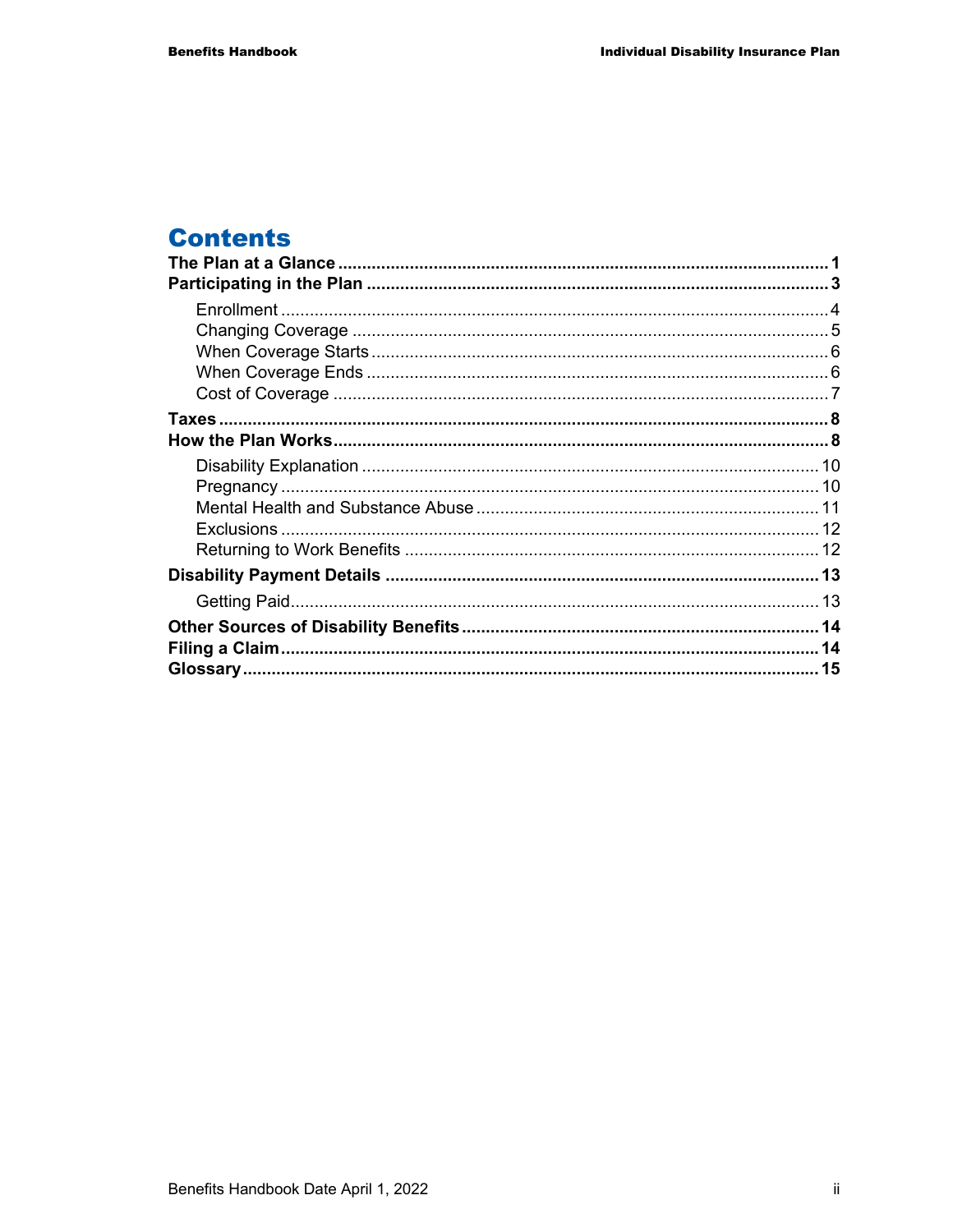## **Contents**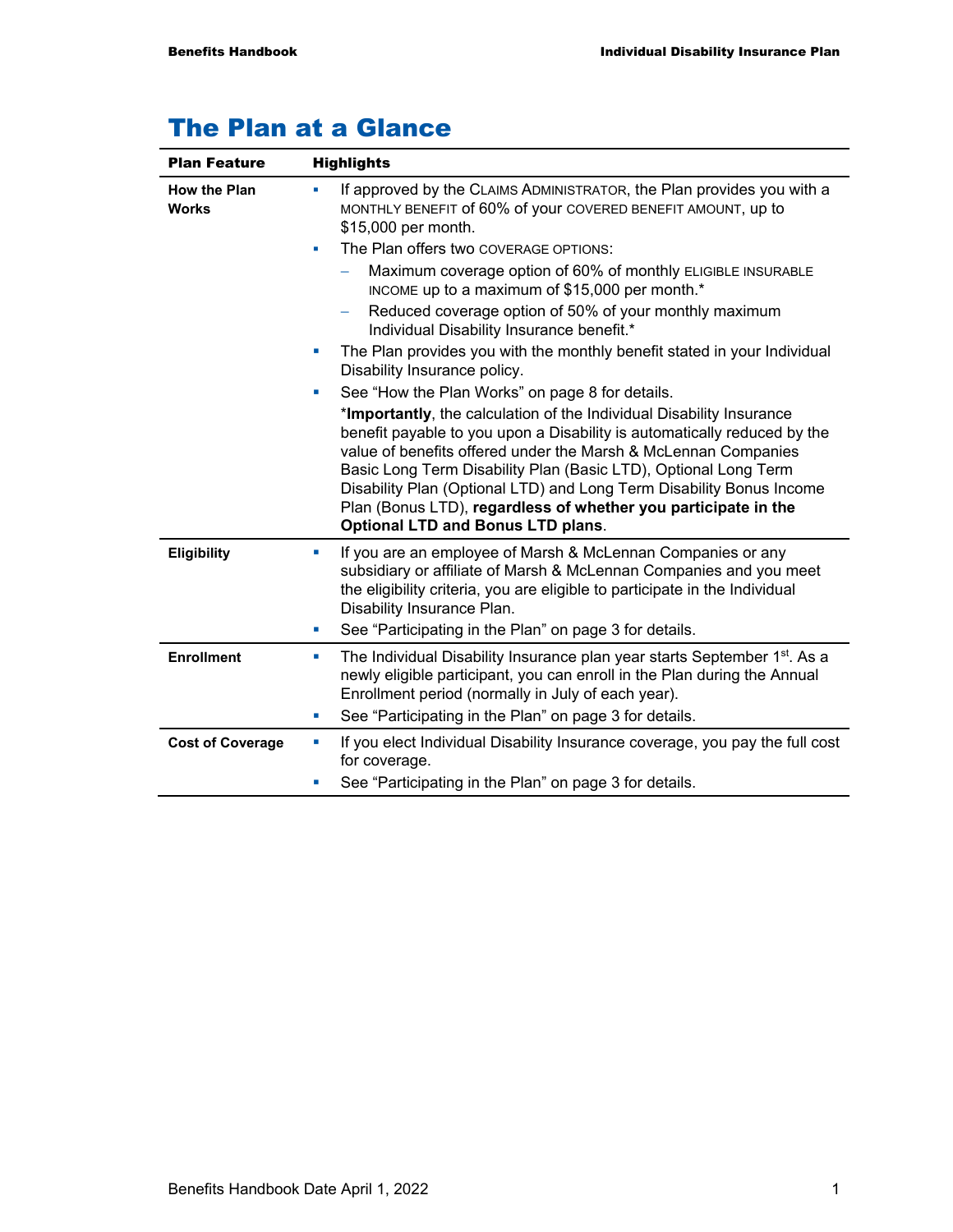| <b>Plan Feature</b>                 | <b>Highlights</b>                                                                                                                                                                                                                                                                                                                                                                                                                                                           |  |  |
|-------------------------------------|-----------------------------------------------------------------------------------------------------------------------------------------------------------------------------------------------------------------------------------------------------------------------------------------------------------------------------------------------------------------------------------------------------------------------------------------------------------------------------|--|--|
| <b>How the Plan</b><br><b>Works</b> | If approved by the CLAIMS ADMINISTRATOR, the Plan provides you with a<br>MONTHLY BENEFIT of 60% of your COVERED BENEFIT AMOUNT, up to<br>\$15,000 per month.                                                                                                                                                                                                                                                                                                                |  |  |
|                                     | The Plan offers two COVERAGE OPTIONS:<br>×                                                                                                                                                                                                                                                                                                                                                                                                                                  |  |  |
|                                     | Maximum coverage option of 60% of monthly ELIGIBLE INSURABLE<br>INCOME up to a maximum of \$15,000 per month.*                                                                                                                                                                                                                                                                                                                                                              |  |  |
|                                     | Reduced coverage option of 50% of your monthly maximum<br>Individual Disability Insurance benefit.*                                                                                                                                                                                                                                                                                                                                                                         |  |  |
|                                     | The Plan provides you with the monthly benefit stated in your Individual<br>ш<br>Disability Insurance policy.                                                                                                                                                                                                                                                                                                                                                               |  |  |
|                                     | See "How the Plan Works" on page 8 for details.<br>×,                                                                                                                                                                                                                                                                                                                                                                                                                       |  |  |
|                                     | *Importantly, the calculation of the Individual Disability Insurance<br>benefit payable to you upon a Disability is automatically reduced by the<br>value of benefits offered under the Marsh & McLennan Companies<br>Basic Long Term Disability Plan (Basic LTD), Optional Long Term<br>Disability Plan (Optional LTD) and Long Term Disability Bonus Income<br>Plan (Bonus LTD), regardless of whether you participate in the<br><b>Optional LTD and Bonus LTD plans.</b> |  |  |
| Eligibility                         | If you are an employee of Marsh & McLennan Companies or any<br>ш<br>subsidiary or affiliate of Marsh & McLennan Companies and you meet<br>the eligibility criteria, you are eligible to participate in the Individual<br>Disability Insurance Plan.                                                                                                                                                                                                                         |  |  |
|                                     | See "Participating in the Plan" on page 3 for details.<br>ш                                                                                                                                                                                                                                                                                                                                                                                                                 |  |  |
| <b>Enrollment</b>                   | The Individual Disability Insurance plan year starts September 1 <sup>st</sup> . As a<br>ш<br>newly eligible participant, you can enroll in the Plan during the Annual<br>Enrollment period (normally in July of each year).                                                                                                                                                                                                                                                |  |  |
|                                     | See "Participating in the Plan" on page 3 for details.<br>ш                                                                                                                                                                                                                                                                                                                                                                                                                 |  |  |
| <b>Cost of Coverage</b>             | If you elect Individual Disability Insurance coverage, you pay the full cost<br>ш<br>for coverage.                                                                                                                                                                                                                                                                                                                                                                          |  |  |
|                                     | See "Participating in the Plan" on page 3 for details.<br>u,                                                                                                                                                                                                                                                                                                                                                                                                                |  |  |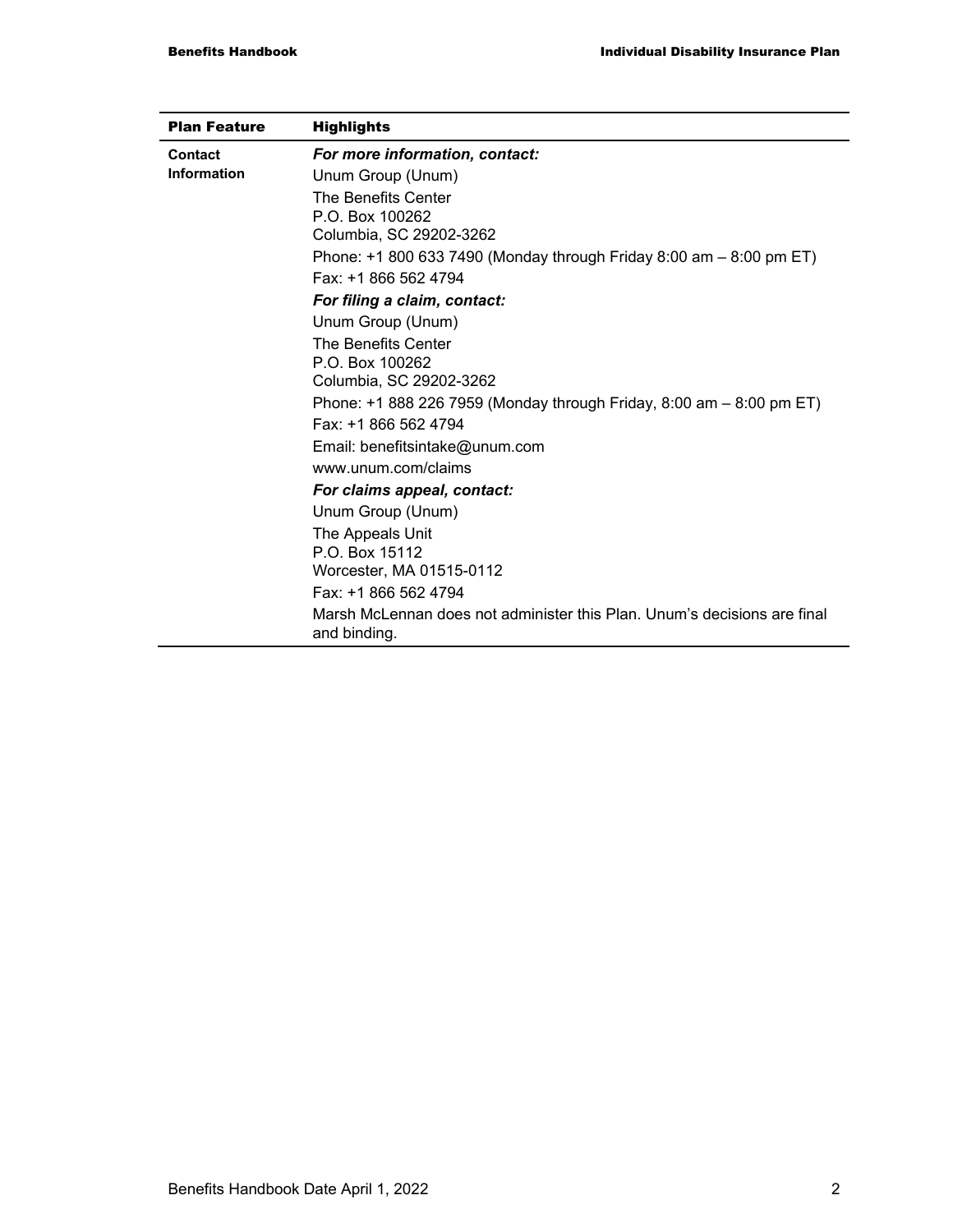| <b>Plan Feature</b> | <b>Highlights</b>                                                                        |
|---------------------|------------------------------------------------------------------------------------------|
| <b>Contact</b>      | For more information, contact:                                                           |
| Information         | Unum Group (Unum)                                                                        |
|                     | The Benefits Center                                                                      |
|                     | P.O. Box 100262                                                                          |
|                     | Columbia, SC 29202-3262                                                                  |
|                     | Phone: +1 800 633 7490 (Monday through Friday 8:00 am $-$ 8:00 pm ET)                    |
|                     | Fax: +1 866 562 4794                                                                     |
|                     | For filing a claim, contact:                                                             |
|                     | Unum Group (Unum)                                                                        |
|                     | The Benefits Center                                                                      |
|                     | P.O. Box 100262                                                                          |
|                     | Columbia, SC 29202-3262                                                                  |
|                     | Phone: +1 888 226 7959 (Monday through Friday, 8:00 am – 8:00 pm ET)                     |
|                     | Fax: +1 866 562 4794                                                                     |
|                     | Email: benefitsintake@unum.com                                                           |
|                     | www.unum.com/claims                                                                      |
|                     | For claims appeal, contact:                                                              |
|                     | Unum Group (Unum)                                                                        |
|                     | The Appeals Unit                                                                         |
|                     | P.O. Box 15112                                                                           |
|                     | Worcester, MA 01515-0112                                                                 |
|                     | Fax: +1 866 562 4794                                                                     |
|                     | Marsh McLennan does not administer this Plan. Unum's decisions are final<br>and binding. |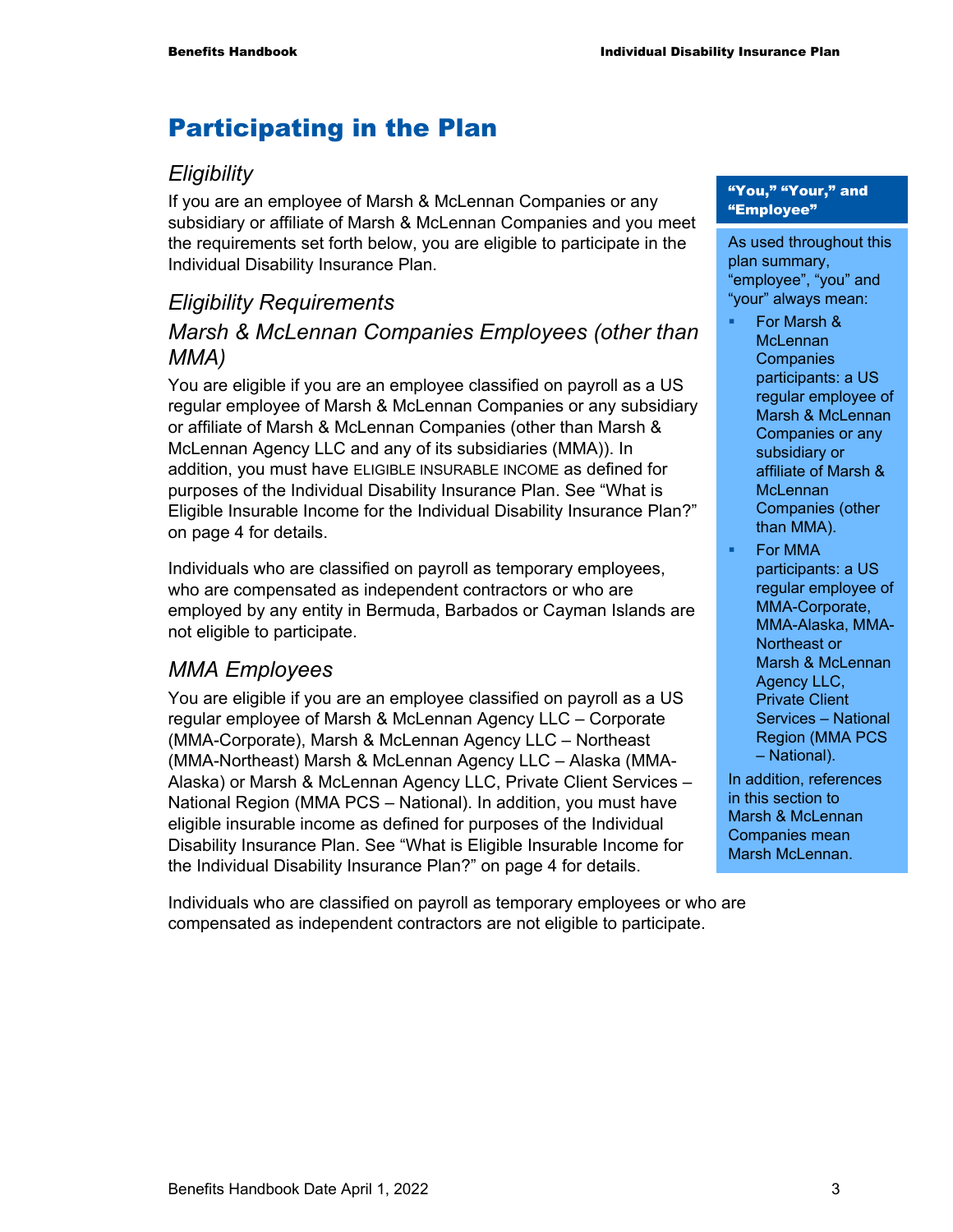## Participating in the Plan

#### *Eligibility*

If you are an employee of Marsh & McLennan Companies or any subsidiary or affiliate of Marsh & McLennan Companies and you meet the requirements set forth below, you are eligible to participate in the Individual Disability Insurance Plan.

### *Eligibility Requirements Marsh & McLennan Companies Employees (other than MMA)*

You are eligible if you are an employee classified on payroll as a US regular employee of Marsh & McLennan Companies or any subsidiary or affiliate of Marsh & McLennan Companies (other than Marsh & McLennan Agency LLC and any of its subsidiaries (MMA)). In addition, you must have ELIGIBLE INSURABLE INCOME as defined for purposes of the Individual Disability Insurance Plan. See "What is Eligible Insurable Income for the Individual Disability Insurance Plan?" on page 4 for details.

Individuals who are classified on payroll as temporary employees, who are compensated as independent contractors or who are employed by any entity in Bermuda, Barbados or Cayman Islands are not eligible to participate.

#### *MMA Employees*

You are eligible if you are an employee classified on payroll as a US regular employee of Marsh & McLennan Agency LLC – Corporate (MMA-Corporate), Marsh & McLennan Agency LLC – Northeast (MMA-Northeast) Marsh & McLennan Agency LLC – Alaska (MMA-Alaska) or Marsh & McLennan Agency LLC, Private Client Services – National Region (MMA PCS – National). In addition, you must have eligible insurable income as defined for purposes of the Individual Disability Insurance Plan. See "What is Eligible Insurable Income for the Individual Disability Insurance Plan?" on page 4 for details.

Individuals who are classified on payroll as temporary employees or who are compensated as independent contractors are not eligible to participate.

#### "You," "Your," and "Employee"

As used throughout this plan summary, "employee", "you" and "your" always mean:

- For Marsh & **McLennan Companies** participants: a US regular employee of Marsh & McLennan Companies or any subsidiary or affiliate of Marsh & **McLennan** Companies (other than MMA).
- For MMA participants: a US regular employee of MMA-Corporate, MMA-Alaska, MMA-Northeast or Marsh & McLennan Agency LLC, Private Client Services – National Region (MMA PCS – National).

In addition, references in this section to Marsh & McLennan Companies mean Marsh McLennan.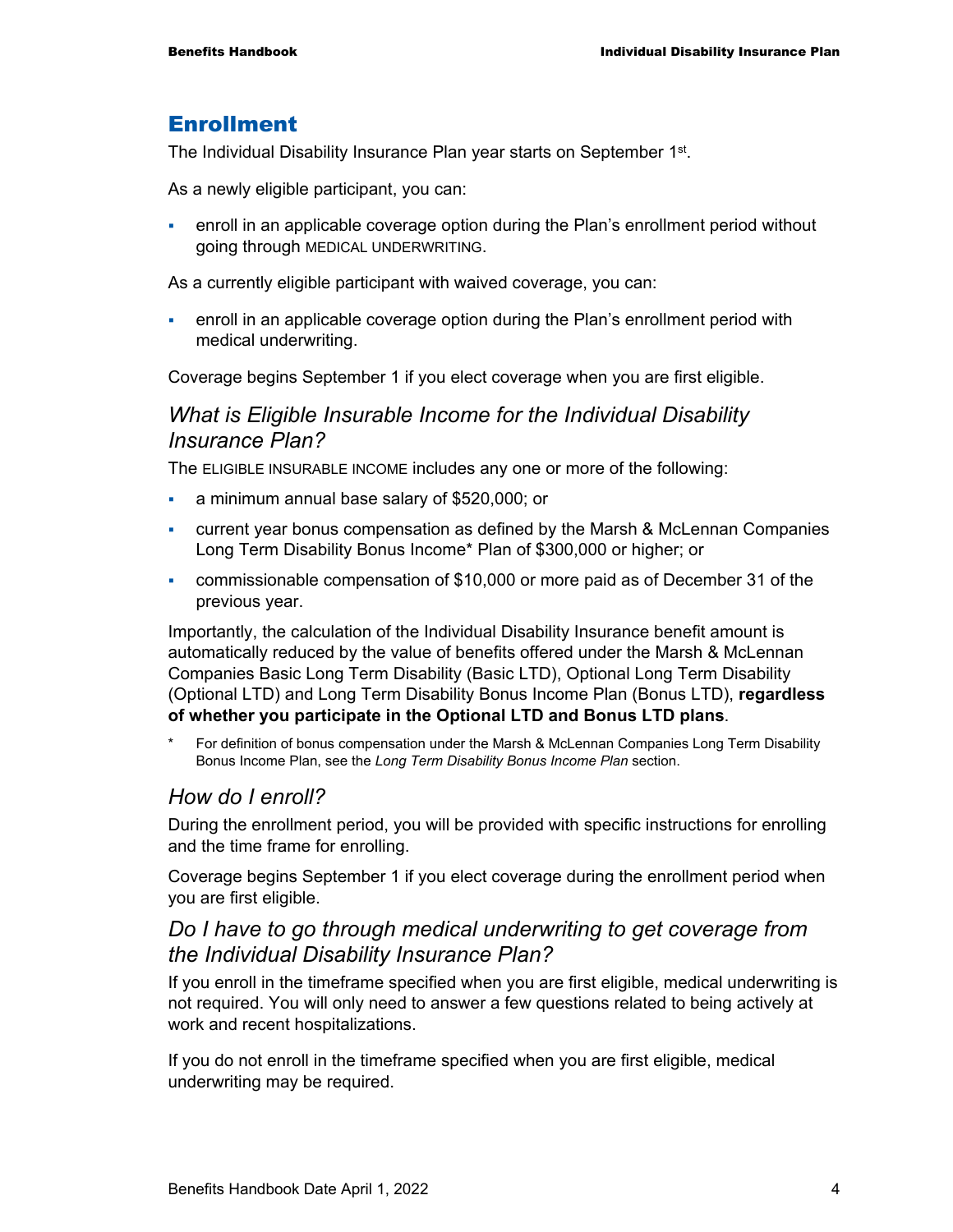#### Enrollment

The Individual Disability Insurance Plan year starts on September 1<sup>st</sup>.

As a newly eligible participant, you can:

 enroll in an applicable coverage option during the Plan's enrollment period without going through MEDICAL UNDERWRITING.

As a currently eligible participant with waived coverage, you can:

 enroll in an applicable coverage option during the Plan's enrollment period with medical underwriting.

Coverage begins September 1 if you elect coverage when you are first eligible.

#### *What is Eligible Insurable Income for the Individual Disability Insurance Plan?*

The ELIGIBLE INSURABLE INCOME includes any one or more of the following:

- a minimum annual base salary of \$520,000; or
- current year bonus compensation as defined by the Marsh & McLennan Companies Long Term Disability Bonus Income\* Plan of \$300,000 or higher; or
- commissionable compensation of \$10,000 or more paid as of December 31 of the previous year.

Importantly, the calculation of the Individual Disability Insurance benefit amount is automatically reduced by the value of benefits offered under the Marsh & McLennan Companies Basic Long Term Disability (Basic LTD), Optional Long Term Disability (Optional LTD) and Long Term Disability Bonus Income Plan (Bonus LTD), **regardless of whether you participate in the Optional LTD and Bonus LTD plans**.

For definition of bonus compensation under the Marsh & McLennan Companies Long Term Disability Bonus Income Plan, see the *Long Term Disability Bonus Income Plan* section.

#### *How do I enroll?*

During the enrollment period, you will be provided with specific instructions for enrolling and the time frame for enrolling.

Coverage begins September 1 if you elect coverage during the enrollment period when you are first eligible.

#### *Do I have to go through medical underwriting to get coverage from the Individual Disability Insurance Plan?*

If you enroll in the timeframe specified when you are first eligible, medical underwriting is not required. You will only need to answer a few questions related to being actively at work and recent hospitalizations.

If you do not enroll in the timeframe specified when you are first eligible, medical underwriting may be required.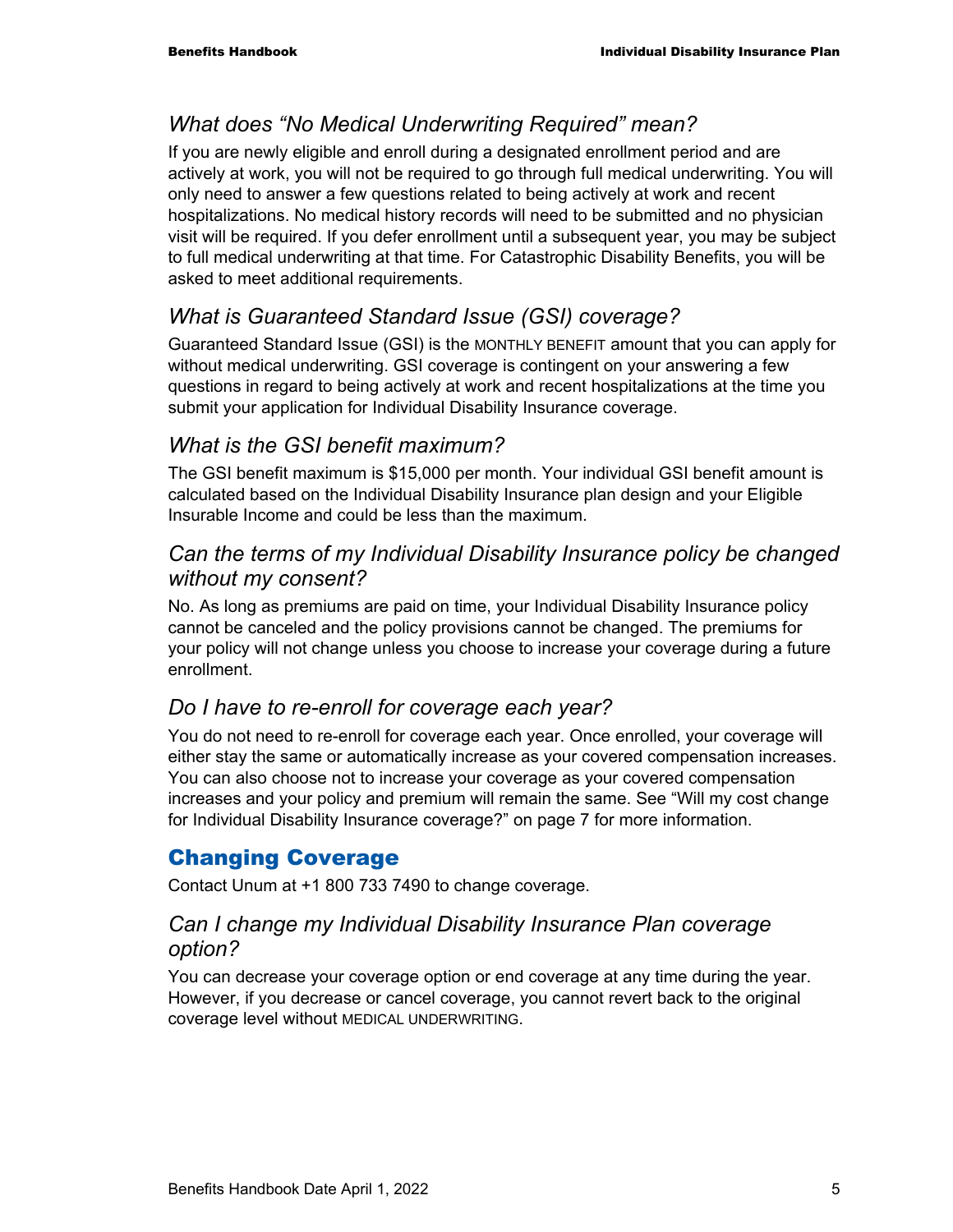#### *What does "No Medical Underwriting Required" mean?*

If you are newly eligible and enroll during a designated enrollment period and are actively at work, you will not be required to go through full medical underwriting. You will only need to answer a few questions related to being actively at work and recent hospitalizations. No medical history records will need to be submitted and no physician visit will be required. If you defer enrollment until a subsequent year, you may be subject to full medical underwriting at that time. For Catastrophic Disability Benefits, you will be asked to meet additional requirements.

### *What is Guaranteed Standard Issue (GSI) coverage?*

Guaranteed Standard Issue (GSI) is the MONTHLY BENEFIT amount that you can apply for without medical underwriting. GSI coverage is contingent on your answering a few questions in regard to being actively at work and recent hospitalizations at the time you submit your application for Individual Disability Insurance coverage.

#### *What is the GSI benefit maximum?*

The GSI benefit maximum is \$15,000 per month. Your individual GSI benefit amount is calculated based on the Individual Disability Insurance plan design and your Eligible Insurable Income and could be less than the maximum.

#### *Can the terms of my Individual Disability Insurance policy be changed without my consent?*

No. As long as premiums are paid on time, your Individual Disability Insurance policy cannot be canceled and the policy provisions cannot be changed. The premiums for your policy will not change unless you choose to increase your coverage during a future enrollment.

#### *Do I have to re-enroll for coverage each year?*

You do not need to re-enroll for coverage each year. Once enrolled, your coverage will either stay the same or automatically increase as your covered compensation increases. You can also choose not to increase your coverage as your covered compensation increases and your policy and premium will remain the same. See "Will my cost change for Individual Disability Insurance coverage?" on page 7 for more information.

### Changing Coverage

Contact Unum at +1 800 733 7490 to change coverage.

#### *Can I change my Individual Disability Insurance Plan coverage option?*

You can decrease your coverage option or end coverage at any time during the year. However, if you decrease or cancel coverage, you cannot revert back to the original coverage level without MEDICAL UNDERWRITING.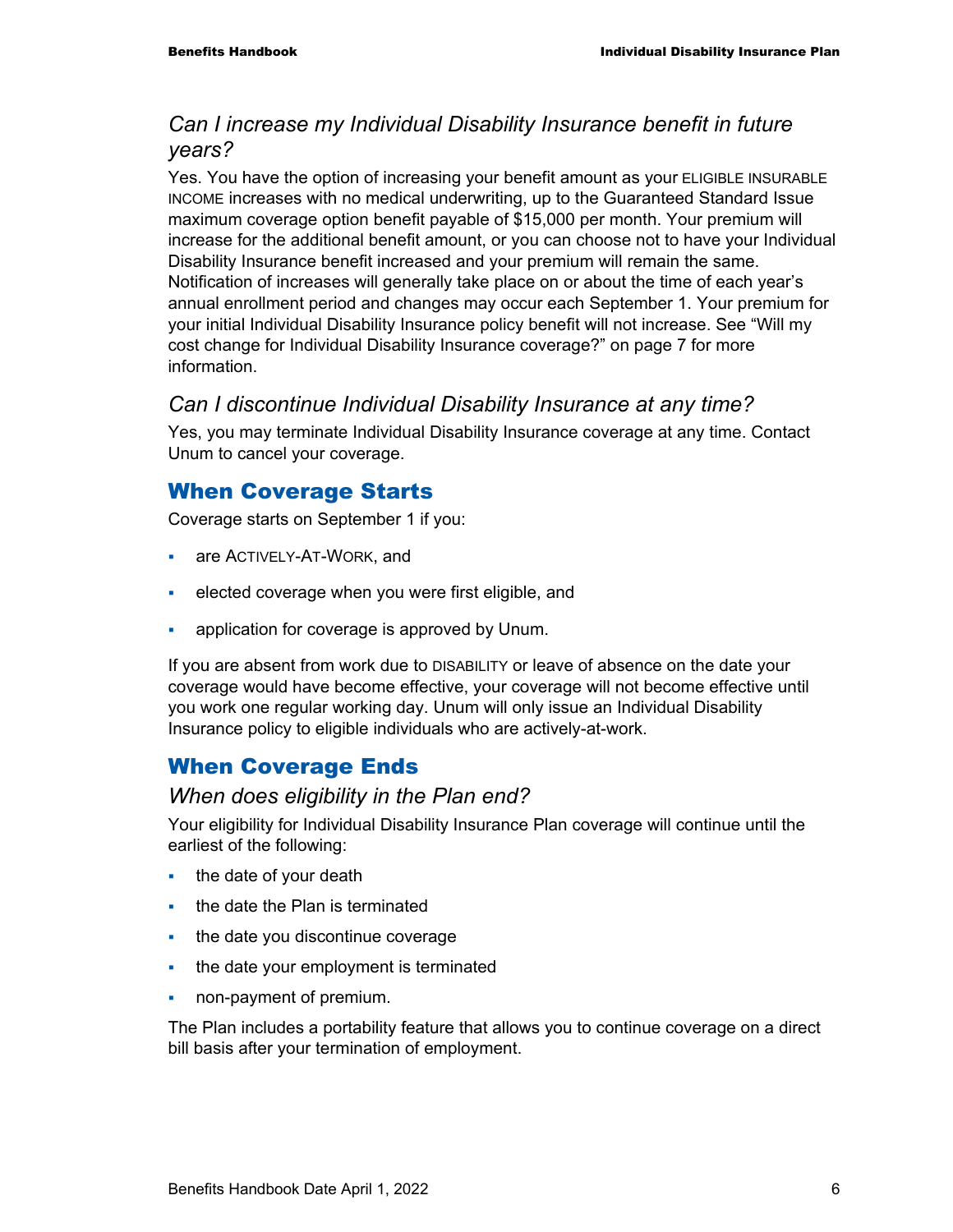#### *Can I increase my Individual Disability Insurance benefit in future years?*

Yes. You have the option of increasing your benefit amount as your ELIGIBLE INSURABLE INCOME increases with no medical underwriting, up to the Guaranteed Standard Issue maximum coverage option benefit payable of \$15,000 per month. Your premium will increase for the additional benefit amount, or you can choose not to have your Individual Disability Insurance benefit increased and your premium will remain the same. Notification of increases will generally take place on or about the time of each year's annual enrollment period and changes may occur each September 1. Your premium for your initial Individual Disability Insurance policy benefit will not increase. See "Will my cost change for Individual Disability Insurance coverage?" on page 7 for more information.

#### *Can I discontinue Individual Disability Insurance at any time?*

Yes, you may terminate Individual Disability Insurance coverage at any time. Contact Unum to cancel your coverage.

#### When Coverage Starts

Coverage starts on September 1 if you:

- **are ACTIVELY-AT-WORK, and**
- elected coverage when you were first eligible, and
- application for coverage is approved by Unum.

If you are absent from work due to DISABILITY or leave of absence on the date your coverage would have become effective, your coverage will not become effective until you work one regular working day. Unum will only issue an Individual Disability Insurance policy to eligible individuals who are actively-at-work.

#### When Coverage Ends

#### *When does eligibility in the Plan end?*

Your eligibility for Individual Disability Insurance Plan coverage will continue until the earliest of the following:

- $\cdot$  the date of your death
- the date the Plan is terminated
- the date you discontinue coverage
- the date your employment is terminated
- non-payment of premium.

The Plan includes a portability feature that allows you to continue coverage on a direct bill basis after your termination of employment.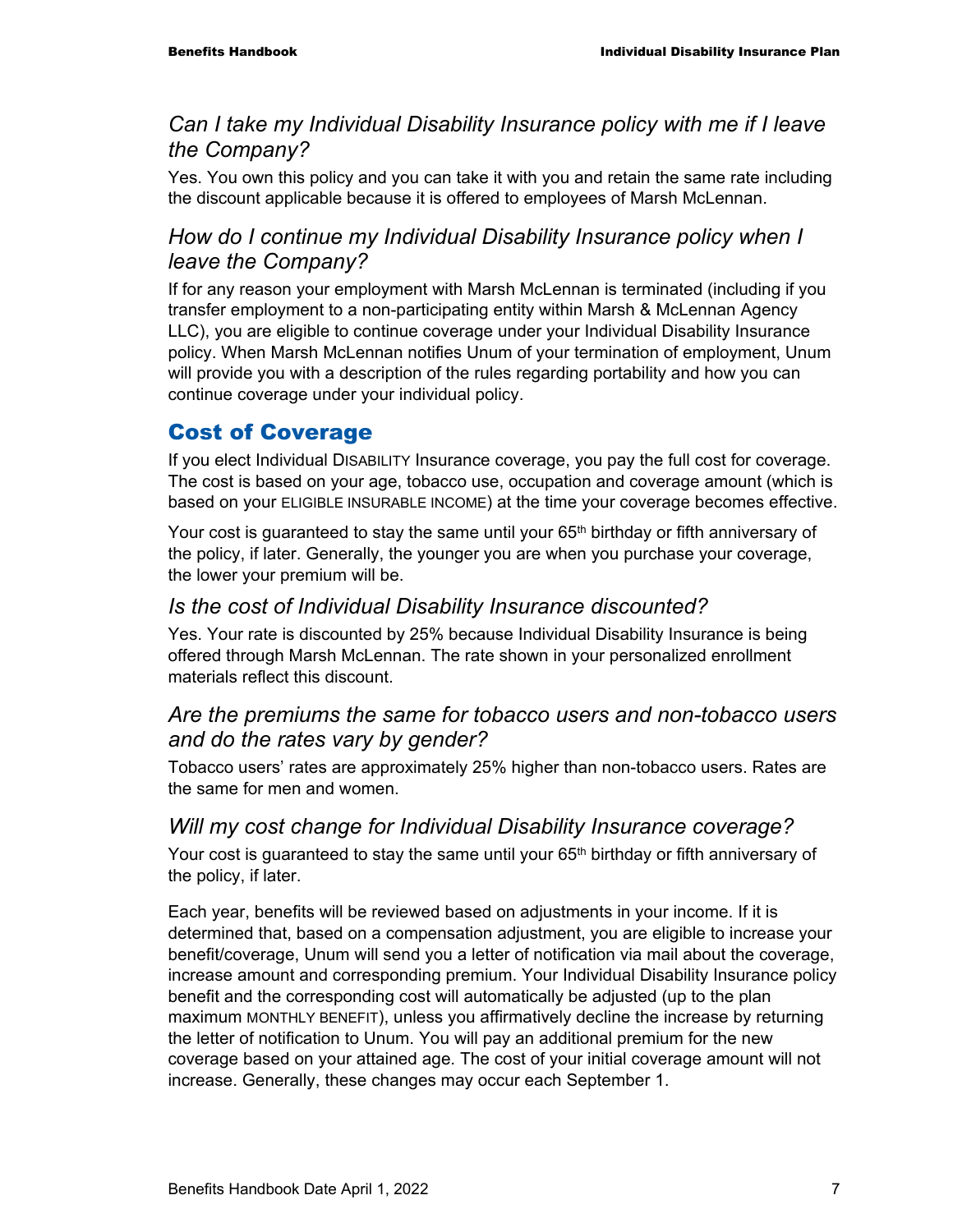#### *Can I take my Individual Disability Insurance policy with me if I leave the Company?*

Yes. You own this policy and you can take it with you and retain the same rate including the discount applicable because it is offered to employees of Marsh McLennan.

#### *How do I continue my Individual Disability Insurance policy when I leave the Company?*

If for any reason your employment with Marsh McLennan is terminated (including if you transfer employment to a non-participating entity within Marsh & McLennan Agency LLC), you are eligible to continue coverage under your Individual Disability Insurance policy. When Marsh McLennan notifies Unum of your termination of employment, Unum will provide you with a description of the rules regarding portability and how you can continue coverage under your individual policy.

### Cost of Coverage

If you elect Individual DISABILITY Insurance coverage, you pay the full cost for coverage. The cost is based on your age, tobacco use, occupation and coverage amount (which is based on your ELIGIBLE INSURABLE INCOME) at the time your coverage becomes effective.

Your cost is guaranteed to stay the same until your 65<sup>th</sup> birthday or fifth anniversary of the policy, if later. Generally, the younger you are when you purchase your coverage, the lower your premium will be.

#### *Is the cost of Individual Disability Insurance discounted?*

Yes. Your rate is discounted by 25% because Individual Disability Insurance is being offered through Marsh McLennan. The rate shown in your personalized enrollment materials reflect this discount.

#### *Are the premiums the same for tobacco users and non-tobacco users and do the rates vary by gender?*

Tobacco users' rates are approximately 25% higher than non-tobacco users. Rates are the same for men and women.

#### *Will my cost change for Individual Disability Insurance coverage?*

Your cost is guaranteed to stay the same until your 65<sup>th</sup> birthday or fifth anniversary of the policy, if later.

Each year, benefits will be reviewed based on adjustments in your income. If it is determined that, based on a compensation adjustment, you are eligible to increase your benefit/coverage, Unum will send you a letter of notification via mail about the coverage, increase amount and corresponding premium. Your Individual Disability Insurance policy benefit and the corresponding cost will automatically be adjusted (up to the plan maximum MONTHLY BENEFIT), unless you affirmatively decline the increase by returning the letter of notification to Unum. You will pay an additional premium for the new coverage based on your attained age. The cost of your initial coverage amount will not increase. Generally, these changes may occur each September 1.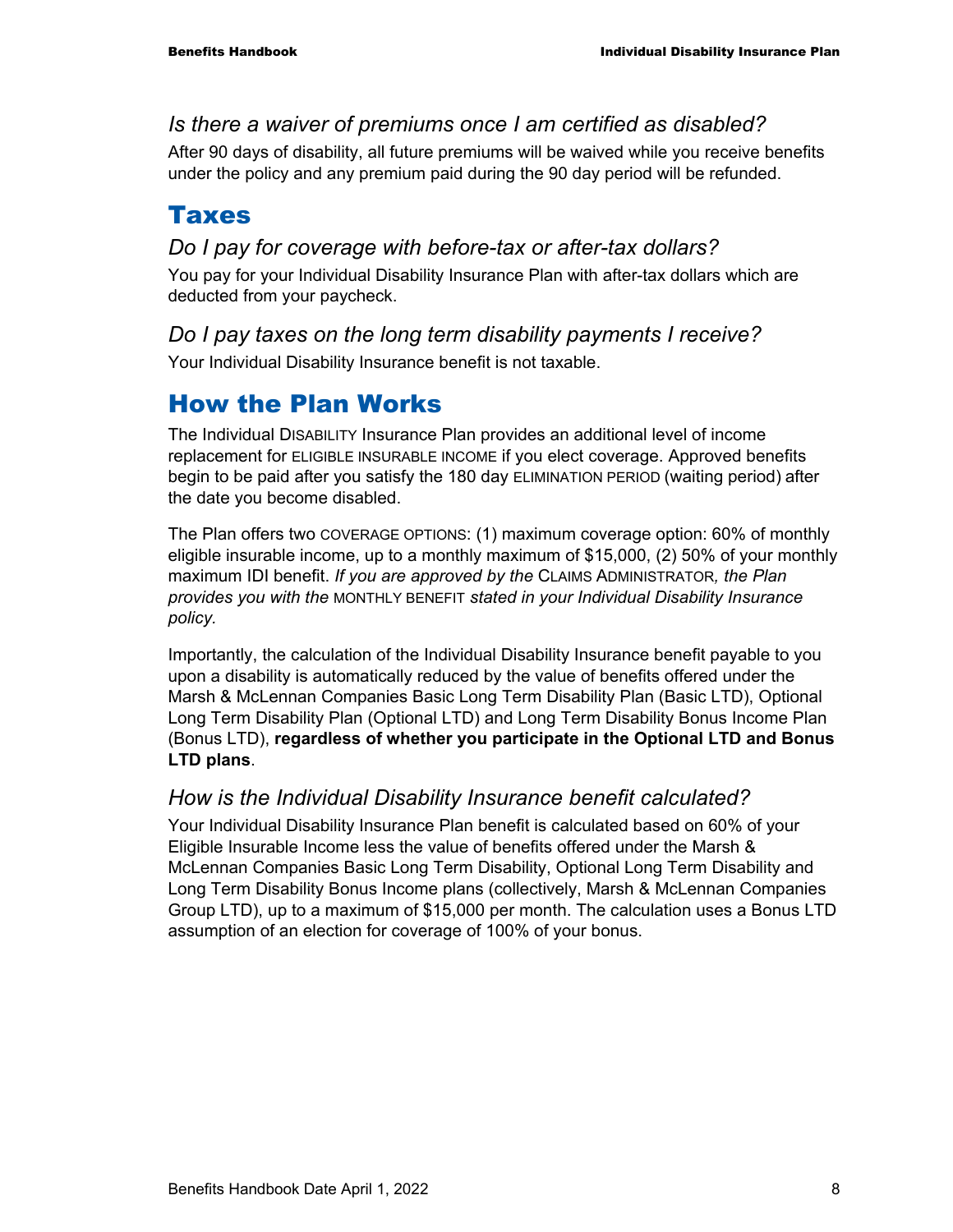#### *Is there a waiver of premiums once I am certified as disabled?*

After 90 days of disability, all future premiums will be waived while you receive benefits under the policy and any premium paid during the 90 day period will be refunded.

## Taxes

#### *Do I pay for coverage with before-tax or after-tax dollars?*

You pay for your Individual Disability Insurance Plan with after-tax dollars which are deducted from your paycheck.

#### *Do I pay taxes on the long term disability payments I receive?*

Your Individual Disability Insurance benefit is not taxable.

## How the Plan Works

The Individual DISABILITY Insurance Plan provides an additional level of income replacement for ELIGIBLE INSURABLE INCOME if you elect coverage. Approved benefits begin to be paid after you satisfy the 180 day ELIMINATION PERIOD (waiting period) after the date you become disabled.

The Plan offers two COVERAGE OPTIONS: (1) maximum coverage option: 60% of monthly eligible insurable income, up to a monthly maximum of \$15,000, (2) 50% of your monthly maximum IDI benefit. *If you are approved by the* CLAIMS ADMINISTRATOR*, the Plan provides you with the* MONTHLY BENEFIT *stated in your Individual Disability Insurance policy.*

Importantly, the calculation of the Individual Disability Insurance benefit payable to you upon a disability is automatically reduced by the value of benefits offered under the Marsh & McLennan Companies Basic Long Term Disability Plan (Basic LTD), Optional Long Term Disability Plan (Optional LTD) and Long Term Disability Bonus Income Plan (Bonus LTD), **regardless of whether you participate in the Optional LTD and Bonus LTD plans**.

#### *How is the Individual Disability Insurance benefit calculated?*

Your Individual Disability Insurance Plan benefit is calculated based on 60% of your Eligible Insurable Income less the value of benefits offered under the Marsh & McLennan Companies Basic Long Term Disability, Optional Long Term Disability and Long Term Disability Bonus Income plans (collectively, Marsh & McLennan Companies Group LTD), up to a maximum of \$15,000 per month. The calculation uses a Bonus LTD assumption of an election for coverage of 100% of your bonus.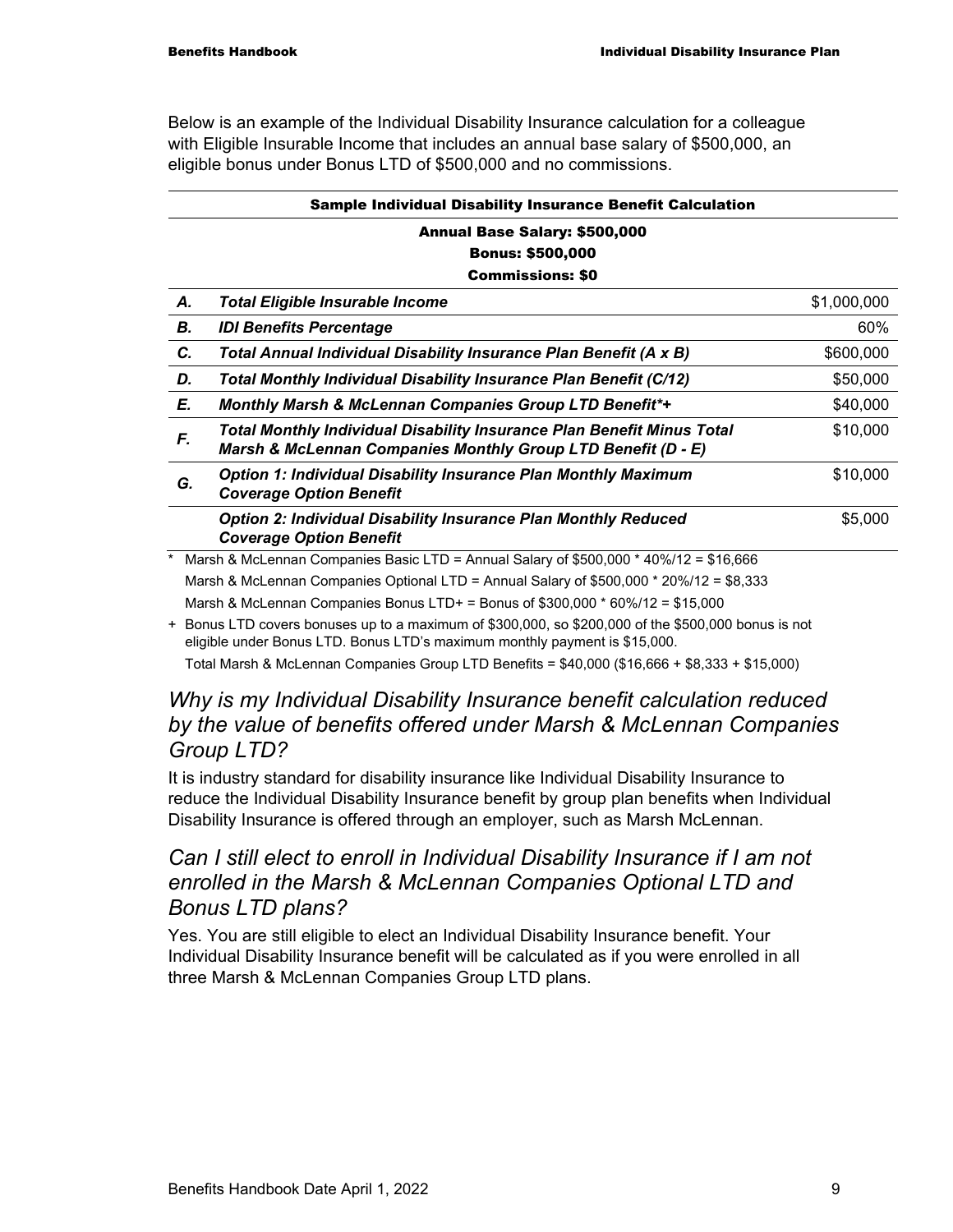Below is an example of the Individual Disability Insurance calculation for a colleague with Eligible Insurable Income that includes an annual base salary of \$500,000, an eligible bonus under Bonus LTD of \$500,000 and no commissions.

| Sample Individual Disability Insurance Benefit Calculation |
|------------------------------------------------------------|
|                                                            |

#### Annual Base Salary: \$500,000 Bonus: \$500,000 Commissions: \$0

| А. | <b>Total Eligible Insurable Income</b>                                                                                                        | \$1,000,000 |
|----|-----------------------------------------------------------------------------------------------------------------------------------------------|-------------|
| В. | <b>IDI Benefits Percentage</b>                                                                                                                | 60%         |
| C. | Total Annual Individual Disability Insurance Plan Benefit (A x B)                                                                             | \$600,000   |
| D. | Total Monthly Individual Disability Insurance Plan Benefit (C/12)                                                                             | \$50,000    |
| E. | <b>Monthly Marsh &amp; McLennan Companies Group LTD Benefit*+</b>                                                                             | \$40,000    |
| F. | <b>Total Monthly Individual Disability Insurance Plan Benefit Minus Total</b><br>Marsh & McLennan Companies Monthly Group LTD Benefit (D - E) | \$10,000    |
| G. | <b>Option 1: Individual Disability Insurance Plan Monthly Maximum</b><br><b>Coverage Option Benefit</b>                                       | \$10,000    |
|    | <b>Option 2: Individual Disability Insurance Plan Monthly Reduced</b><br><b>Coverage Option Benefit</b>                                       | \$5,000     |
|    | Marsh & McLennan Companies Basic LTD = Annual Salary of \$500,000 $*$ 40%/12 = \$16,666                                                       |             |
|    | Marsh & McLennan Companies Optional LTD = Annual Salary of \$500,000 * 20%/12 = \$8,333                                                       |             |

Marsh & McLennan Companies Bonus LTD+ = Bonus of \$300,000 \* 60%/12 = \$15,000

+ Bonus LTD covers bonuses up to a maximum of \$300,000, so \$200,000 of the \$500,000 bonus is not eligible under Bonus LTD. Bonus LTD's maximum monthly payment is \$15,000.

Total Marsh & McLennan Companies Group LTD Benefits = \$40,000 (\$16,666 + \$8,333 + \$15,000)

#### *Why is my Individual Disability Insurance benefit calculation reduced by the value of benefits offered under Marsh & McLennan Companies Group LTD?*

It is industry standard for disability insurance like Individual Disability Insurance to reduce the Individual Disability Insurance benefit by group plan benefits when Individual Disability Insurance is offered through an employer, such as Marsh McLennan.

#### *Can I still elect to enroll in Individual Disability Insurance if I am not enrolled in the Marsh & McLennan Companies Optional LTD and Bonus LTD plans?*

Yes. You are still eligible to elect an Individual Disability Insurance benefit. Your Individual Disability Insurance benefit will be calculated as if you were enrolled in all three Marsh & McLennan Companies Group LTD plans.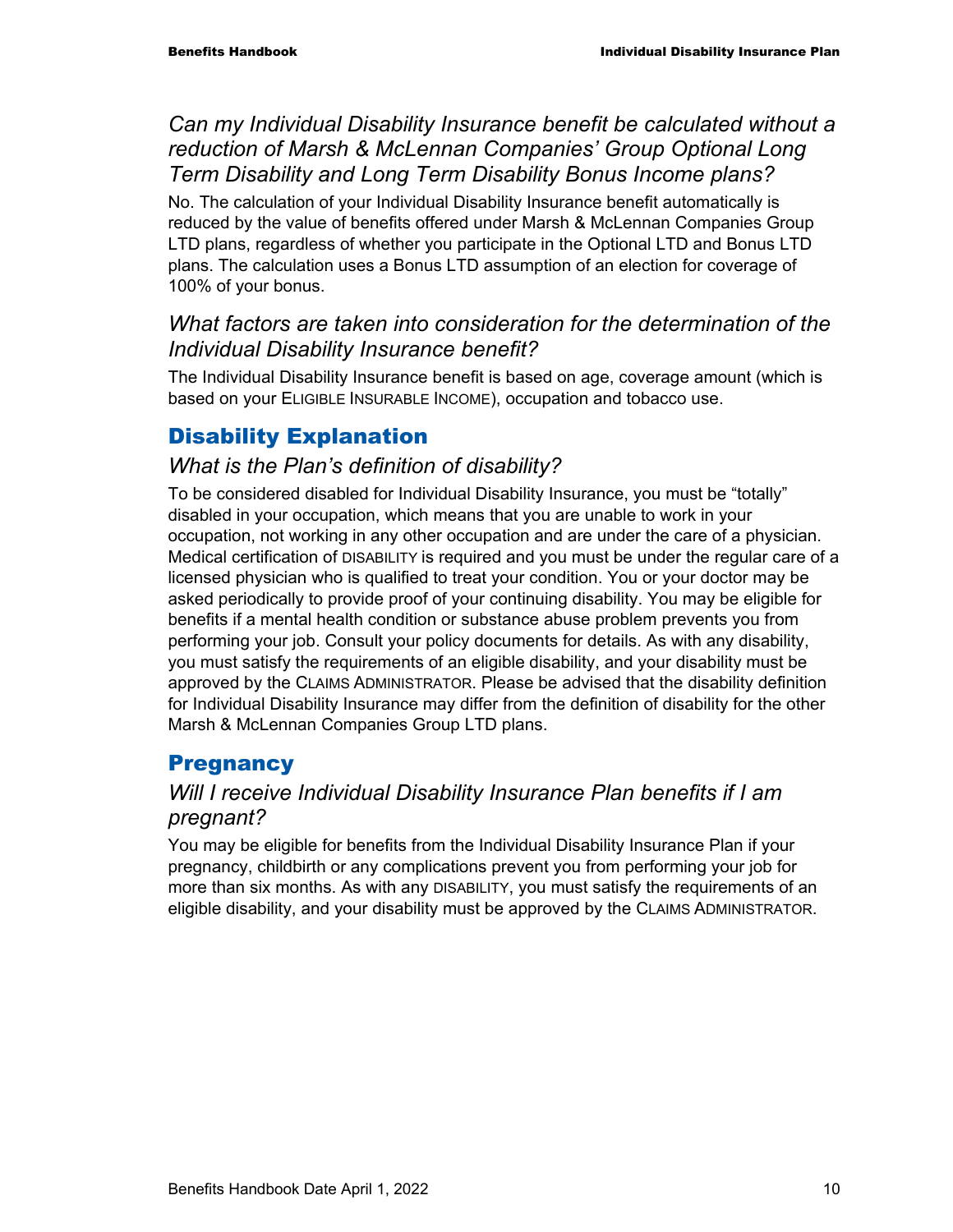#### *Can my Individual Disability Insurance benefit be calculated without a reduction of Marsh & McLennan Companies' Group Optional Long Term Disability and Long Term Disability Bonus Income plans?*

No. The calculation of your Individual Disability Insurance benefit automatically is reduced by the value of benefits offered under Marsh & McLennan Companies Group LTD plans, regardless of whether you participate in the Optional LTD and Bonus LTD plans. The calculation uses a Bonus LTD assumption of an election for coverage of 100% of your bonus.

#### *What factors are taken into consideration for the determination of the Individual Disability Insurance benefit?*

The Individual Disability Insurance benefit is based on age, coverage amount (which is based on your ELIGIBLE INSURABLE INCOME), occupation and tobacco use.

### Disability Explanation

#### *What is the Plan's definition of disability?*

To be considered disabled for Individual Disability Insurance, you must be "totally" disabled in your occupation, which means that you are unable to work in your occupation, not working in any other occupation and are under the care of a physician. Medical certification of DISABILITY is required and you must be under the regular care of a licensed physician who is qualified to treat your condition. You or your doctor may be asked periodically to provide proof of your continuing disability. You may be eligible for benefits if a mental health condition or substance abuse problem prevents you from performing your job. Consult your policy documents for details. As with any disability, you must satisfy the requirements of an eligible disability, and your disability must be approved by the CLAIMS ADMINISTRATOR. Please be advised that the disability definition for Individual Disability Insurance may differ from the definition of disability for the other Marsh & McLennan Companies Group LTD plans.

### **Pregnancy**

#### *Will I receive Individual Disability Insurance Plan benefits if I am pregnant?*

You may be eligible for benefits from the Individual Disability Insurance Plan if your pregnancy, childbirth or any complications prevent you from performing your job for more than six months. As with any DISABILITY, you must satisfy the requirements of an eligible disability, and your disability must be approved by the CLAIMS ADMINISTRATOR.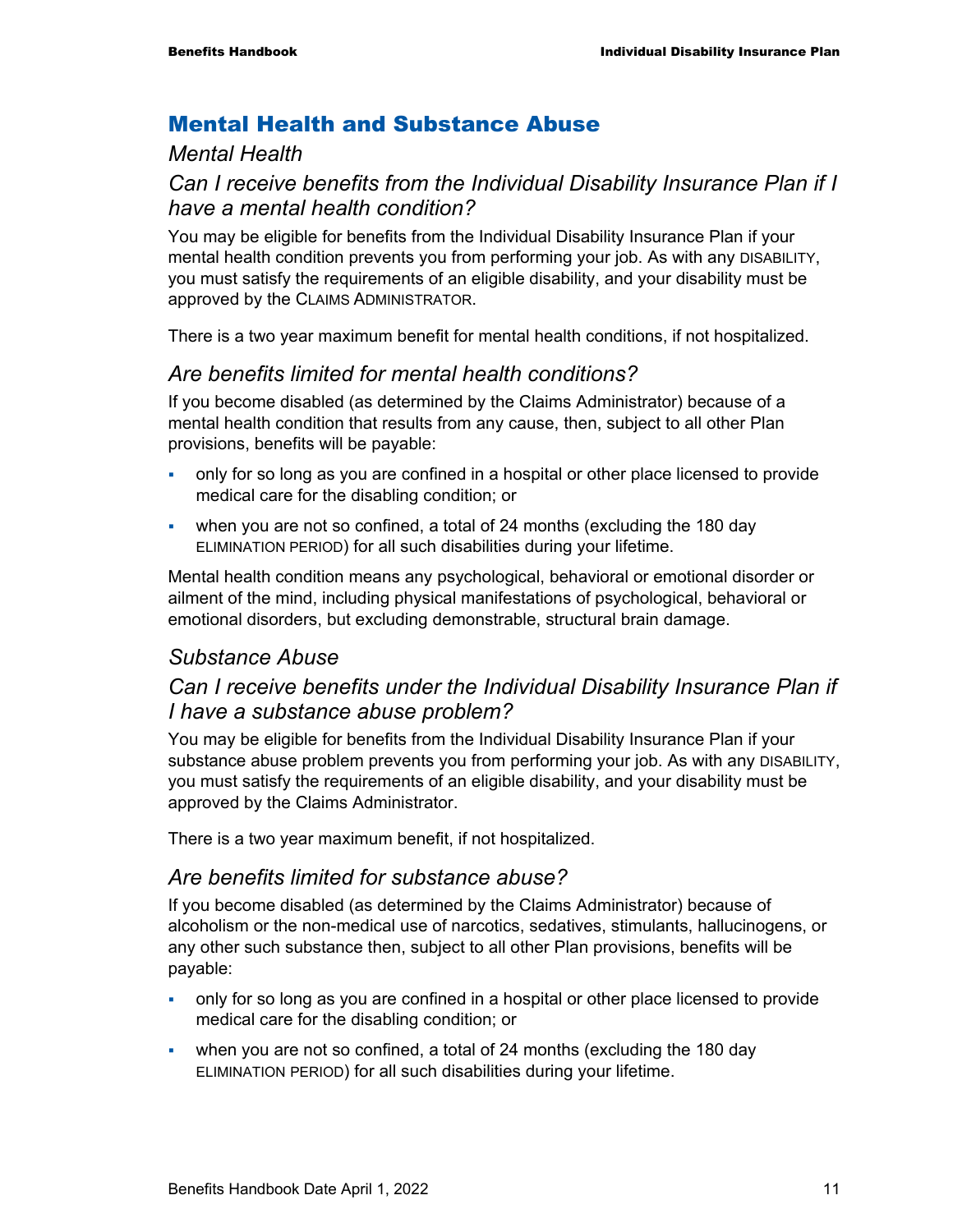#### Mental Health and Substance Abuse

#### *Mental Health*

#### *Can I receive benefits from the Individual Disability Insurance Plan if I have a mental health condition?*

You may be eligible for benefits from the Individual Disability Insurance Plan if your mental health condition prevents you from performing your job. As with any DISABILITY, you must satisfy the requirements of an eligible disability, and your disability must be approved by the CLAIMS ADMINISTRATOR.

There is a two year maximum benefit for mental health conditions, if not hospitalized.

#### *Are benefits limited for mental health conditions?*

If you become disabled (as determined by the Claims Administrator) because of a mental health condition that results from any cause, then, subject to all other Plan provisions, benefits will be payable:

- only for so long as you are confined in a hospital or other place licensed to provide medical care for the disabling condition; or
- when you are not so confined, a total of 24 months (excluding the 180 day ELIMINATION PERIOD) for all such disabilities during your lifetime.

Mental health condition means any psychological, behavioral or emotional disorder or ailment of the mind, including physical manifestations of psychological, behavioral or emotional disorders, but excluding demonstrable, structural brain damage.

#### *Substance Abuse*

#### *Can I receive benefits under the Individual Disability Insurance Plan if I have a substance abuse problem?*

You may be eligible for benefits from the Individual Disability Insurance Plan if your substance abuse problem prevents you from performing your job. As with any DISABILITY, you must satisfy the requirements of an eligible disability, and your disability must be approved by the Claims Administrator.

There is a two year maximum benefit, if not hospitalized.

#### *Are benefits limited for substance abuse?*

If you become disabled (as determined by the Claims Administrator) because of alcoholism or the non-medical use of narcotics, sedatives, stimulants, hallucinogens, or any other such substance then, subject to all other Plan provisions, benefits will be payable:

- only for so long as you are confined in a hospital or other place licensed to provide medical care for the disabling condition; or
- when you are not so confined, a total of 24 months (excluding the 180 day ELIMINATION PERIOD) for all such disabilities during your lifetime.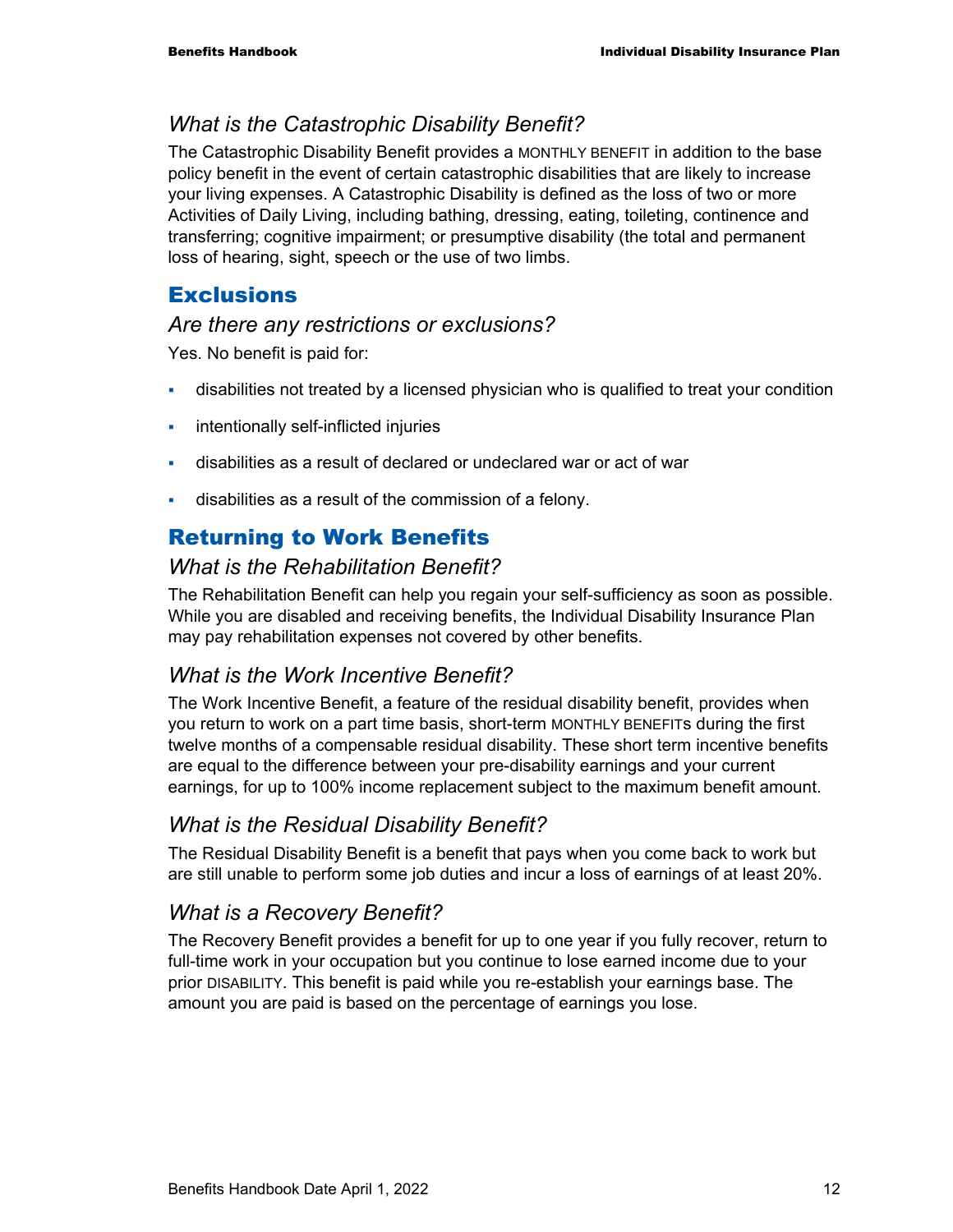#### *What is the Catastrophic Disability Benefit?*

The Catastrophic Disability Benefit provides a MONTHLY BENEFIT in addition to the base policy benefit in the event of certain catastrophic disabilities that are likely to increase your living expenses. A Catastrophic Disability is defined as the loss of two or more Activities of Daily Living, including bathing, dressing, eating, toileting, continence and transferring; cognitive impairment; or presumptive disability (the total and permanent loss of hearing, sight, speech or the use of two limbs.

#### **Exclusions**

#### *Are there any restrictions or exclusions?*

Yes. No benefit is paid for:

- disabilities not treated by a licensed physician who is qualified to treat your condition
- **i** intentionally self-inflicted injuries
- disabilities as a result of declared or undeclared war or act of war
- disabilities as a result of the commission of a felony.

## Returning to Work Benefits

#### *What is the Rehabilitation Benefit?*

The Rehabilitation Benefit can help you regain your self-sufficiency as soon as possible. While you are disabled and receiving benefits, the Individual Disability Insurance Plan may pay rehabilitation expenses not covered by other benefits.

#### *What is the Work Incentive Benefit?*

The Work Incentive Benefit, a feature of the residual disability benefit, provides when you return to work on a part time basis, short-term MONTHLY BENEFITs during the first twelve months of a compensable residual disability. These short term incentive benefits are equal to the difference between your pre-disability earnings and your current earnings, for up to 100% income replacement subject to the maximum benefit amount.

#### *What is the Residual Disability Benefit?*

The Residual Disability Benefit is a benefit that pays when you come back to work but are still unable to perform some job duties and incur a loss of earnings of at least 20%.

#### *What is a Recovery Benefit?*

The Recovery Benefit provides a benefit for up to one year if you fully recover, return to full-time work in your occupation but you continue to lose earned income due to your prior DISABILITY. This benefit is paid while you re-establish your earnings base. The amount you are paid is based on the percentage of earnings you lose.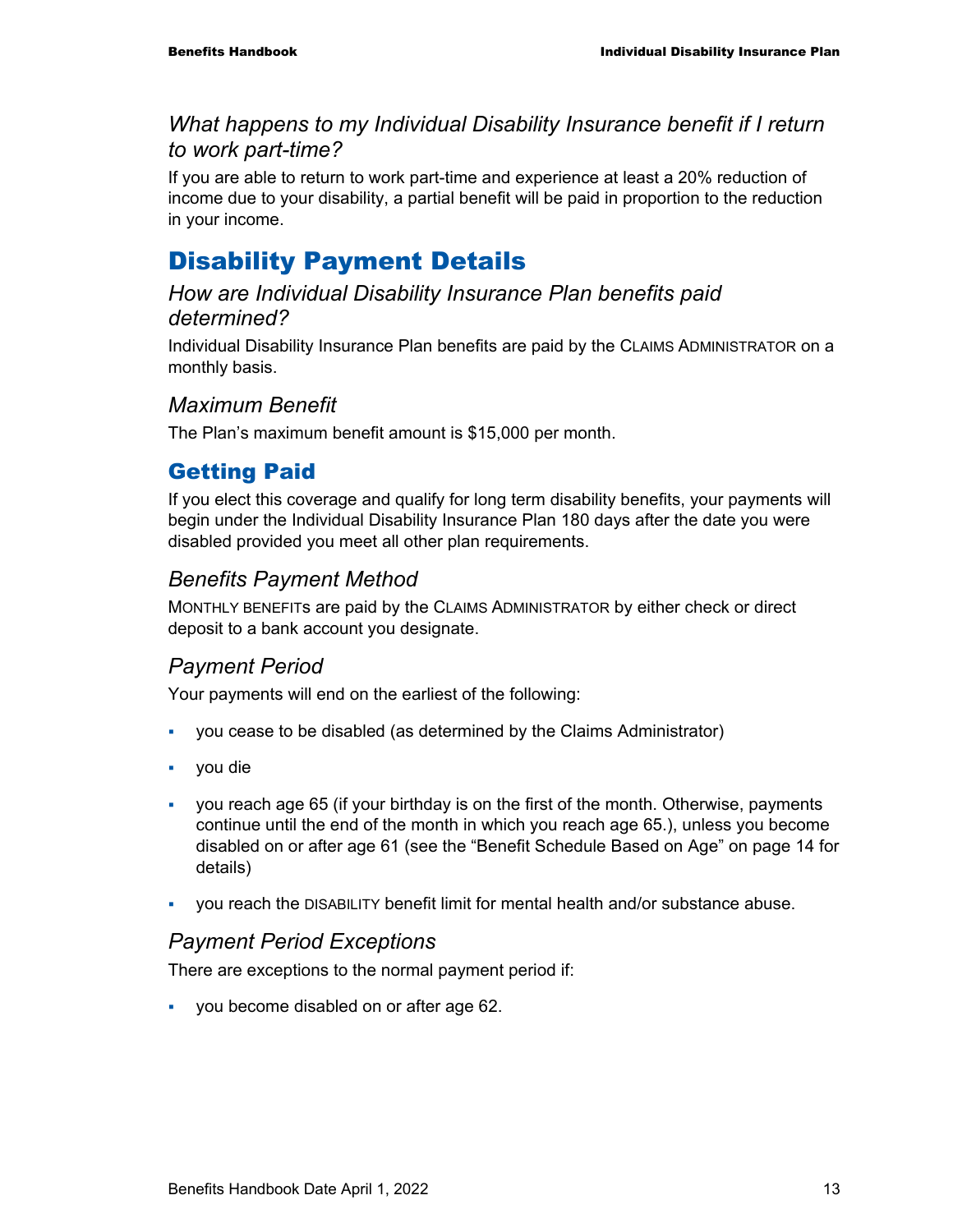#### *What happens to my Individual Disability Insurance benefit if I return to work part-time?*

If you are able to return to work part-time and experience at least a 20% reduction of income due to your disability, a partial benefit will be paid in proportion to the reduction in your income.

## Disability Payment Details

#### *How are Individual Disability Insurance Plan benefits paid determined?*

Individual Disability Insurance Plan benefits are paid by the CLAIMS ADMINISTRATOR on a monthly basis.

#### *Maximum Benefit*

The Plan's maximum benefit amount is \$15,000 per month.

### Getting Paid

If you elect this coverage and qualify for long term disability benefits, your payments will begin under the Individual Disability Insurance Plan 180 days after the date you were disabled provided you meet all other plan requirements.

### *Benefits Payment Method*

MONTHLY BENEFITs are paid by the CLAIMS ADMINISTRATOR by either check or direct deposit to a bank account you designate.

#### *Payment Period*

Your payments will end on the earliest of the following:

- you cease to be disabled (as determined by the Claims Administrator)
- you die
- you reach age 65 (if your birthday is on the first of the month. Otherwise, payments continue until the end of the month in which you reach age 65.), unless you become disabled on or after age 61 (see the "Benefit Schedule Based on Age" on page 14 for details)
- you reach the DISABILITY benefit limit for mental health and/or substance abuse.

#### *Payment Period Exceptions*

There are exceptions to the normal payment period if:

you become disabled on or after age 62.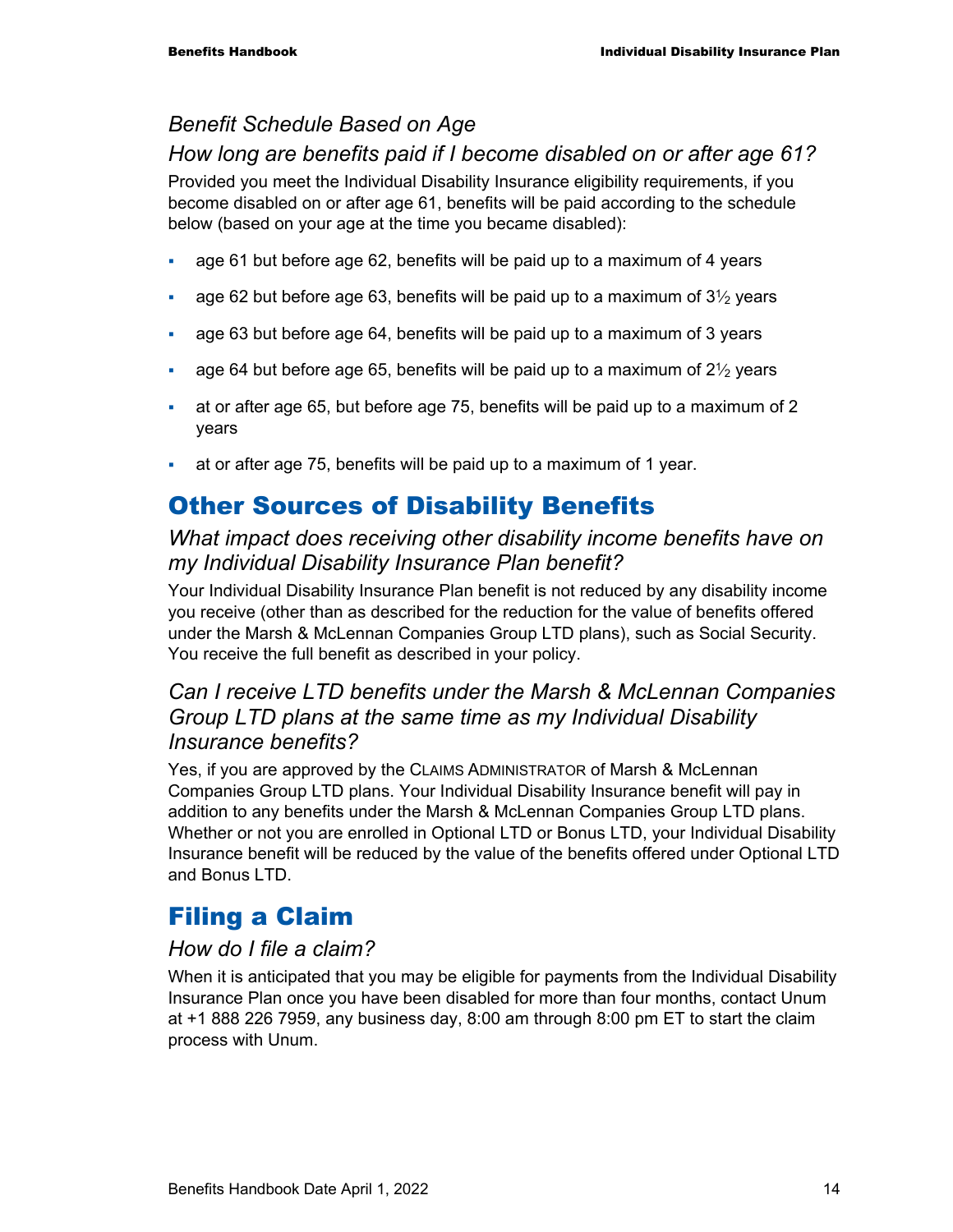### *Benefit Schedule Based on Age*

#### *How long are benefits paid if I become disabled on or after age 61?*

Provided you meet the Individual Disability Insurance eligibility requirements, if you become disabled on or after age 61, benefits will be paid according to the schedule below (based on your age at the time you became disabled):

- age 61 but before age 62, benefits will be paid up to a maximum of 4 years
- age 62 but before age 63, benefits will be paid up to a maximum of  $3\frac{1}{2}$  years
- age 63 but before age 64, benefits will be paid up to a maximum of 3 years
- age 64 but before age 65, benefits will be paid up to a maximum of  $2\frac{1}{2}$  years
- at or after age 65, but before age 75, benefits will be paid up to a maximum of 2 years
- at or after age 75, benefits will be paid up to a maximum of 1 year.

## Other Sources of Disability Benefits

#### *What impact does receiving other disability income benefits have on my Individual Disability Insurance Plan benefit?*

Your Individual Disability Insurance Plan benefit is not reduced by any disability income you receive (other than as described for the reduction for the value of benefits offered under the Marsh & McLennan Companies Group LTD plans), such as Social Security. You receive the full benefit as described in your policy.

#### *Can I receive LTD benefits under the Marsh & McLennan Companies Group LTD plans at the same time as my Individual Disability Insurance benefits?*

Yes, if you are approved by the CLAIMS ADMINISTRATOR of Marsh & McLennan Companies Group LTD plans. Your Individual Disability Insurance benefit will pay in addition to any benefits under the Marsh & McLennan Companies Group LTD plans. Whether or not you are enrolled in Optional LTD or Bonus LTD, your Individual Disability Insurance benefit will be reduced by the value of the benefits offered under Optional LTD and Bonus LTD.

## Filing a Claim

#### *How do I file a claim?*

When it is anticipated that you may be eligible for payments from the Individual Disability Insurance Plan once you have been disabled for more than four months, contact Unum at +1 888 226 7959, any business day, 8:00 am through 8:00 pm ET to start the claim process with Unum.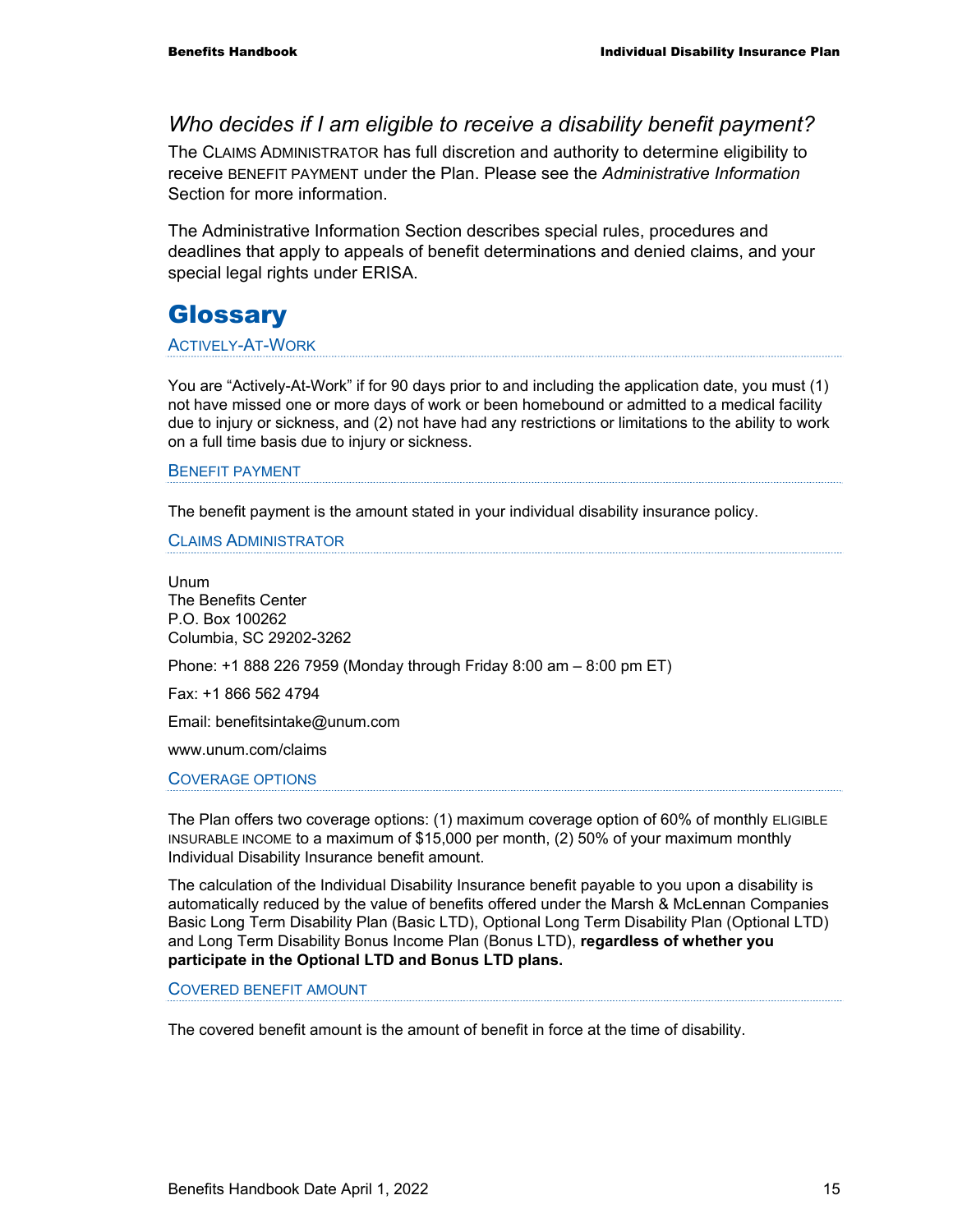#### *Who decides if I am eligible to receive a disability benefit payment?*

The CLAIMS ADMINISTRATOR has full discretion and authority to determine eligibility to receive BENEFIT PAYMENT under the Plan. Please see the *Administrative Information* Section for more information.

The Administrative Information Section describes special rules, procedures and deadlines that apply to appeals of benefit determinations and denied claims, and your special legal rights under ERISA.

## **Glossary**

#### ACTIVELY-AT-WORK

You are "Actively-At-Work" if for 90 days prior to and including the application date, you must (1) not have missed one or more days of work or been homebound or admitted to a medical facility due to injury or sickness, and (2) not have had any restrictions or limitations to the ability to work on a full time basis due to injury or sickness.

#### BENEFIT PAYMENT

The benefit payment is the amount stated in your individual disability insurance policy.

CLAIMS ADMINISTRATOR

Unum The Benefits Center P.O. Box 100262 Columbia, SC 29202-3262

Phone: +1 888 226 7959 (Monday through Friday 8:00 am – 8:00 pm ET)

Fax: +1 866 562 4794

Email: benefitsintake@unum.com

www.unum.com/claims

#### COVERAGE OPTIONS

The Plan offers two coverage options: (1) maximum coverage option of 60% of monthly ELIGIBLE INSURABLE INCOME to a maximum of \$15,000 per month, (2) 50% of your maximum monthly Individual Disability Insurance benefit amount.

The calculation of the Individual Disability Insurance benefit payable to you upon a disability is automatically reduced by the value of benefits offered under the Marsh & McLennan Companies Basic Long Term Disability Plan (Basic LTD), Optional Long Term Disability Plan (Optional LTD) and Long Term Disability Bonus Income Plan (Bonus LTD), **regardless of whether you participate in the Optional LTD and Bonus LTD plans.** 

COVERED BENEFIT AMOUNT

The covered benefit amount is the amount of benefit in force at the time of disability.